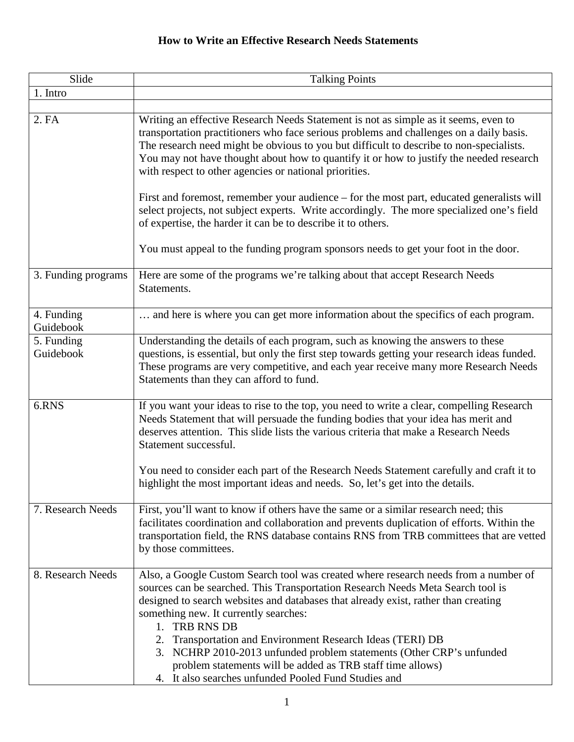## **How to Write an Effective Research Needs Statements**

| Slide                   | <b>Talking Points</b>                                                                                                                                                                                                                                                                                                                                                                                                                                                                                                                                                                                                    |
|-------------------------|--------------------------------------------------------------------------------------------------------------------------------------------------------------------------------------------------------------------------------------------------------------------------------------------------------------------------------------------------------------------------------------------------------------------------------------------------------------------------------------------------------------------------------------------------------------------------------------------------------------------------|
| 1. Intro                |                                                                                                                                                                                                                                                                                                                                                                                                                                                                                                                                                                                                                          |
| 2. FA                   | Writing an effective Research Needs Statement is not as simple as it seems, even to<br>transportation practitioners who face serious problems and challenges on a daily basis.<br>The research need might be obvious to you but difficult to describe to non-specialists.<br>You may not have thought about how to quantify it or how to justify the needed research<br>with respect to other agencies or national priorities.<br>First and foremost, remember your audience – for the most part, educated generalists will<br>select projects, not subject experts. Write accordingly. The more specialized one's field |
|                         | of expertise, the harder it can be to describe it to others.<br>You must appeal to the funding program sponsors needs to get your foot in the door.                                                                                                                                                                                                                                                                                                                                                                                                                                                                      |
| 3. Funding programs     | Here are some of the programs we're talking about that accept Research Needs<br>Statements.                                                                                                                                                                                                                                                                                                                                                                                                                                                                                                                              |
| 4. Funding<br>Guidebook | and here is where you can get more information about the specifics of each program.                                                                                                                                                                                                                                                                                                                                                                                                                                                                                                                                      |
| 5. Funding<br>Guidebook | Understanding the details of each program, such as knowing the answers to these<br>questions, is essential, but only the first step towards getting your research ideas funded.<br>These programs are very competitive, and each year receive many more Research Needs<br>Statements than they can afford to fund.                                                                                                                                                                                                                                                                                                       |
| 6.RNS                   | If you want your ideas to rise to the top, you need to write a clear, compelling Research<br>Needs Statement that will persuade the funding bodies that your idea has merit and<br>deserves attention. This slide lists the various criteria that make a Research Needs<br>Statement successful.                                                                                                                                                                                                                                                                                                                         |
|                         | You need to consider each part of the Research Needs Statement carefully and craft it to<br>highlight the most important ideas and needs. So, let's get into the details.                                                                                                                                                                                                                                                                                                                                                                                                                                                |
| 7. Research Needs       | First, you'll want to know if others have the same or a similar research need; this<br>facilitates coordination and collaboration and prevents duplication of efforts. Within the<br>transportation field, the RNS database contains RNS from TRB committees that are vetted<br>by those committees.                                                                                                                                                                                                                                                                                                                     |
| 8. Research Needs       | Also, a Google Custom Search tool was created where research needs from a number of<br>sources can be searched. This Transportation Research Needs Meta Search tool is<br>designed to search websites and databases that already exist, rather than creating<br>something new. It currently searches:<br><b>TRB RNS DB</b><br>1.<br>2. Transportation and Environment Research Ideas (TERI) DB<br>3. NCHRP 2010-2013 unfunded problem statements (Other CRP's unfunded<br>problem statements will be added as TRB staff time allows)<br>4. It also searches unfunded Pooled Fund Studies and                             |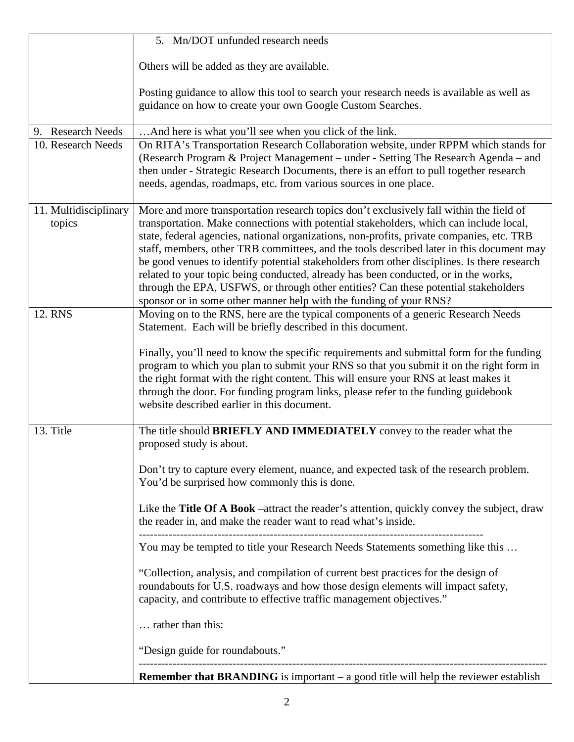|                                 | 5. Mn/DOT unfunded research needs                                                                                                                                                                                                                                                                                                                                                                                                                                                                                                                                                                                                                                                                                             |
|---------------------------------|-------------------------------------------------------------------------------------------------------------------------------------------------------------------------------------------------------------------------------------------------------------------------------------------------------------------------------------------------------------------------------------------------------------------------------------------------------------------------------------------------------------------------------------------------------------------------------------------------------------------------------------------------------------------------------------------------------------------------------|
|                                 | Others will be added as they are available.                                                                                                                                                                                                                                                                                                                                                                                                                                                                                                                                                                                                                                                                                   |
|                                 | Posting guidance to allow this tool to search your research needs is available as well as<br>guidance on how to create your own Google Custom Searches.                                                                                                                                                                                                                                                                                                                                                                                                                                                                                                                                                                       |
| 9. Research Needs               | And here is what you'll see when you click of the link.                                                                                                                                                                                                                                                                                                                                                                                                                                                                                                                                                                                                                                                                       |
| 10. Research Needs              | On RITA's Transportation Research Collaboration website, under RPPM which stands for<br>(Research Program & Project Management – under - Setting The Research Agenda – and<br>then under - Strategic Research Documents, there is an effort to pull together research<br>needs, agendas, roadmaps, etc. from various sources in one place.                                                                                                                                                                                                                                                                                                                                                                                    |
| 11. Multidisciplinary<br>topics | More and more transportation research topics don't exclusively fall within the field of<br>transportation. Make connections with potential stakeholders, which can include local,<br>state, federal agencies, national organizations, non-profits, private companies, etc. TRB<br>staff, members, other TRB committees, and the tools described later in this document may<br>be good venues to identify potential stakeholders from other disciplines. Is there research<br>related to your topic being conducted, already has been conducted, or in the works,<br>through the EPA, USFWS, or through other entities? Can these potential stakeholders<br>sponsor or in some other manner help with the funding of your RNS? |
| 12. RNS                         | Moving on to the RNS, here are the typical components of a generic Research Needs<br>Statement. Each will be briefly described in this document.<br>Finally, you'll need to know the specific requirements and submittal form for the funding<br>program to which you plan to submit your RNS so that you submit it on the right form in<br>the right format with the right content. This will ensure your RNS at least makes it<br>through the door. For funding program links, please refer to the funding guidebook<br>website described earlier in this document.                                                                                                                                                         |
| 13. Title                       | The title should BRIEFLY AND IMMEDIATELY convey to the reader what the<br>proposed study is about.                                                                                                                                                                                                                                                                                                                                                                                                                                                                                                                                                                                                                            |
|                                 | Don't try to capture every element, nuance, and expected task of the research problem.<br>You'd be surprised how commonly this is done.                                                                                                                                                                                                                                                                                                                                                                                                                                                                                                                                                                                       |
|                                 | Like the Title Of A Book –attract the reader's attention, quickly convey the subject, draw<br>the reader in, and make the reader want to read what's inside.                                                                                                                                                                                                                                                                                                                                                                                                                                                                                                                                                                  |
|                                 | You may be tempted to title your Research Needs Statements something like this                                                                                                                                                                                                                                                                                                                                                                                                                                                                                                                                                                                                                                                |
|                                 | "Collection, analysis, and compilation of current best practices for the design of<br>roundabouts for U.S. roadways and how those design elements will impact safety,<br>capacity, and contribute to effective traffic management objectives."                                                                                                                                                                                                                                                                                                                                                                                                                                                                                |
|                                 | rather than this:                                                                                                                                                                                                                                                                                                                                                                                                                                                                                                                                                                                                                                                                                                             |
|                                 | "Design guide for roundabouts."                                                                                                                                                                                                                                                                                                                                                                                                                                                                                                                                                                                                                                                                                               |
|                                 | <b>Remember that BRANDING</b> is important $-$ a good title will help the reviewer establish                                                                                                                                                                                                                                                                                                                                                                                                                                                                                                                                                                                                                                  |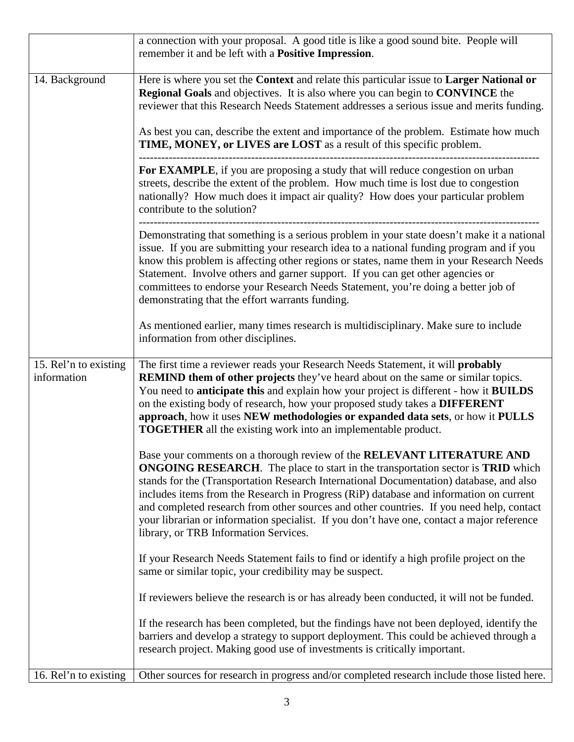|                                      | a connection with your proposal. A good title is like a good sound bite. People will<br>remember it and be left with a <b>Positive Impression</b> .                                                                                                                                                                                                                                                                                                                                                                                                                               |
|--------------------------------------|-----------------------------------------------------------------------------------------------------------------------------------------------------------------------------------------------------------------------------------------------------------------------------------------------------------------------------------------------------------------------------------------------------------------------------------------------------------------------------------------------------------------------------------------------------------------------------------|
| 14. Background                       | Here is where you set the Context and relate this particular issue to Larger National or<br>Regional Goals and objectives. It is also where you can begin to CONVINCE the<br>reviewer that this Research Needs Statement addresses a serious issue and merits funding.<br>As best you can, describe the extent and importance of the problem. Estimate how much<br>TIME, MONEY, or LIVES are LOST as a result of this specific problem.                                                                                                                                           |
|                                      | For EXAMPLE, if you are proposing a study that will reduce congestion on urban<br>streets, describe the extent of the problem. How much time is lost due to congestion<br>nationally? How much does it impact air quality? How does your particular problem<br>contribute to the solution?                                                                                                                                                                                                                                                                                        |
|                                      | Demonstrating that something is a serious problem in your state doesn't make it a national<br>issue. If you are submitting your research idea to a national funding program and if you<br>know this problem is affecting other regions or states, name them in your Research Needs<br>Statement. Involve others and garner support. If you can get other agencies or<br>committees to endorse your Research Needs Statement, you're doing a better job of<br>demonstrating that the effort warrants funding.                                                                      |
|                                      | As mentioned earlier, many times research is multidisciplinary. Make sure to include<br>information from other disciplines.                                                                                                                                                                                                                                                                                                                                                                                                                                                       |
| 15. Rel'n to existing<br>information | The first time a reviewer reads your Research Needs Statement, it will probably<br><b>REMIND them of other projects</b> they've heard about on the same or similar topics.<br>You need to <b>anticipate this</b> and explain how your project is different - how it <b>BUILDS</b><br>on the existing body of research, how your proposed study takes a DIFFERENT<br>approach, how it uses NEW methodologies or expanded data sets, or how it PULLS<br><b>TOGETHER</b> all the existing work into an implementable product.                                                        |
|                                      | Base your comments on a thorough review of the RELEVANT LITERATURE AND<br>ONGOING RESEARCH. The place to start in the transportation sector is TRID which<br>stands for the (Transportation Research International Documentation) database, and also<br>includes items from the Research in Progress (RiP) database and information on current<br>and completed research from other sources and other countries. If you need help, contact<br>your librarian or information specialist. If you don't have one, contact a major reference<br>library, or TRB Information Services. |
|                                      | If your Research Needs Statement fails to find or identify a high profile project on the<br>same or similar topic, your credibility may be suspect.                                                                                                                                                                                                                                                                                                                                                                                                                               |
|                                      | If reviewers believe the research is or has already been conducted, it will not be funded.                                                                                                                                                                                                                                                                                                                                                                                                                                                                                        |
|                                      | If the research has been completed, but the findings have not been deployed, identify the<br>barriers and develop a strategy to support deployment. This could be achieved through a<br>research project. Making good use of investments is critically important.                                                                                                                                                                                                                                                                                                                 |
| 16. Rel'n to existing                | Other sources for research in progress and/or completed research include those listed here.                                                                                                                                                                                                                                                                                                                                                                                                                                                                                       |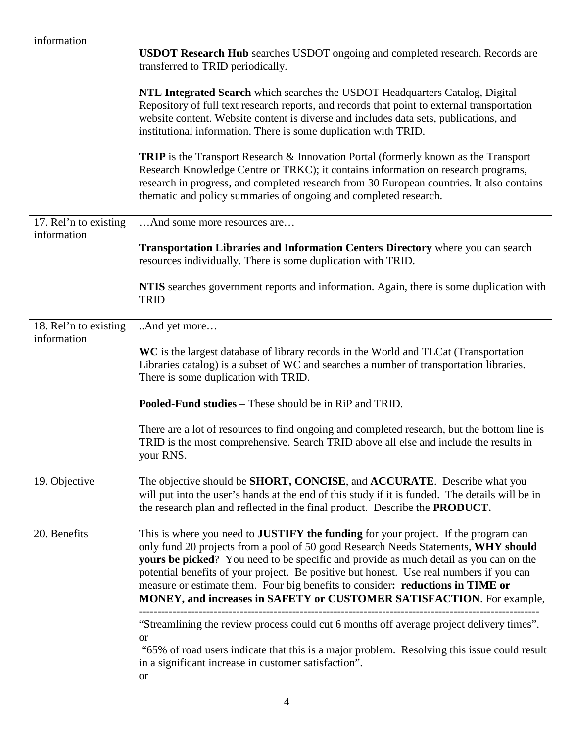| information                          | <b>USDOT Research Hub</b> searches USDOT ongoing and completed research. Records are<br>transferred to TRID periodically.<br>NTL Integrated Search which searches the USDOT Headquarters Catalog, Digital<br>Repository of full text research reports, and records that point to external transportation<br>website content. Website content is diverse and includes data sets, publications, and<br>institutional information. There is some duplication with TRID.<br><b>TRIP</b> is the Transport Research & Innovation Portal (formerly known as the Transport<br>Research Knowledge Centre or TRKC); it contains information on research programs,<br>research in progress, and completed research from 30 European countries. It also contains<br>thematic and policy summaries of ongoing and completed research. |
|--------------------------------------|--------------------------------------------------------------------------------------------------------------------------------------------------------------------------------------------------------------------------------------------------------------------------------------------------------------------------------------------------------------------------------------------------------------------------------------------------------------------------------------------------------------------------------------------------------------------------------------------------------------------------------------------------------------------------------------------------------------------------------------------------------------------------------------------------------------------------|
| 17. Rel'n to existing<br>information | And some more resources are<br><b>Transportation Libraries and Information Centers Directory</b> where you can search                                                                                                                                                                                                                                                                                                                                                                                                                                                                                                                                                                                                                                                                                                    |
|                                      | resources individually. There is some duplication with TRID.<br>NTIS searches government reports and information. Again, there is some duplication with<br><b>TRID</b>                                                                                                                                                                                                                                                                                                                                                                                                                                                                                                                                                                                                                                                   |
| 18. Rel'n to existing<br>information | And yet more<br>WC is the largest database of library records in the World and TLCat (Transportation<br>Libraries catalog) is a subset of WC and searches a number of transportation libraries.<br>There is some duplication with TRID.                                                                                                                                                                                                                                                                                                                                                                                                                                                                                                                                                                                  |
|                                      | <b>Pooled-Fund studies</b> – These should be in RiP and TRID.                                                                                                                                                                                                                                                                                                                                                                                                                                                                                                                                                                                                                                                                                                                                                            |
|                                      | There are a lot of resources to find ongoing and completed research, but the bottom line is<br>TRID is the most comprehensive. Search TRID above all else and include the results in<br>your RNS.                                                                                                                                                                                                                                                                                                                                                                                                                                                                                                                                                                                                                        |
| 19. Objective                        | The objective should be SHORT, CONCISE, and ACCURATE. Describe what you<br>will put into the user's hands at the end of this study if it is funded. The details will be in<br>the research plan and reflected in the final product. Describe the PRODUCT.                                                                                                                                                                                                                                                                                                                                                                                                                                                                                                                                                                |
| 20. Benefits                         | This is where you need to JUSTIFY the funding for your project. If the program can<br>only fund 20 projects from a pool of 50 good Research Needs Statements, WHY should<br>yours be picked? You need to be specific and provide as much detail as you can on the<br>potential benefits of your project. Be positive but honest. Use real numbers if you can<br>measure or estimate them. Four big benefits to consider: reductions in TIME or<br>MONEY, and increases in SAFETY or CUSTOMER SATISFACTION. For example,                                                                                                                                                                                                                                                                                                  |
|                                      | "Streamlining the review process could cut 6 months off average project delivery times".<br>or<br>"65% of road users indicate that this is a major problem. Resolving this issue could result<br>in a significant increase in customer satisfaction".<br>or                                                                                                                                                                                                                                                                                                                                                                                                                                                                                                                                                              |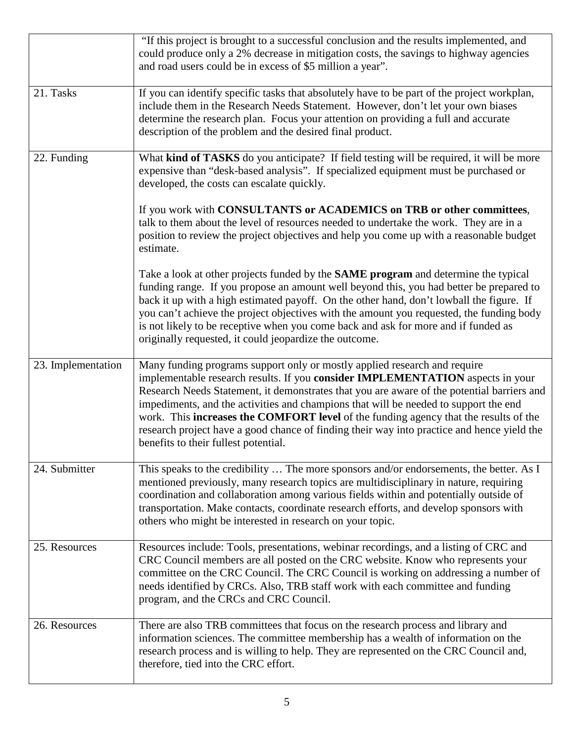|                    | "If this project is brought to a successful conclusion and the results implemented, and<br>could produce only a 2% decrease in mitigation costs, the savings to highway agencies<br>and road users could be in excess of \$5 million a year".                                                                                                                                                                                                                                                                                                                                   |
|--------------------|---------------------------------------------------------------------------------------------------------------------------------------------------------------------------------------------------------------------------------------------------------------------------------------------------------------------------------------------------------------------------------------------------------------------------------------------------------------------------------------------------------------------------------------------------------------------------------|
| 21. Tasks          | If you can identify specific tasks that absolutely have to be part of the project workplan,<br>include them in the Research Needs Statement. However, don't let your own biases<br>determine the research plan. Focus your attention on providing a full and accurate<br>description of the problem and the desired final product.                                                                                                                                                                                                                                              |
| 22. Funding        | What kind of TASKS do you anticipate? If field testing will be required, it will be more<br>expensive than "desk-based analysis". If specialized equipment must be purchased or<br>developed, the costs can escalate quickly.                                                                                                                                                                                                                                                                                                                                                   |
|                    | If you work with CONSULTANTS or ACADEMICS on TRB or other committees,<br>talk to them about the level of resources needed to undertake the work. They are in a<br>position to review the project objectives and help you come up with a reasonable budget<br>estimate.                                                                                                                                                                                                                                                                                                          |
|                    | Take a look at other projects funded by the SAME program and determine the typical<br>funding range. If you propose an amount well beyond this, you had better be prepared to<br>back it up with a high estimated payoff. On the other hand, don't lowball the figure. If<br>you can't achieve the project objectives with the amount you requested, the funding body<br>is not likely to be receptive when you come back and ask for more and if funded as<br>originally requested, it could jeopardize the outcome.                                                           |
| 23. Implementation | Many funding programs support only or mostly applied research and require<br>implementable research results. If you consider IMPLEMENTATION aspects in your<br>Research Needs Statement, it demonstrates that you are aware of the potential barriers and<br>impediments, and the activities and champions that will be needed to support the end<br>work. This increases the COMFORT level of the funding agency that the results of the<br>research project have a good chance of finding their way into practice and hence yield the<br>benefits to their fullest potential. |
| 24. Submitter      | This speaks to the credibility  The more sponsors and/or endorsements, the better. As I<br>mentioned previously, many research topics are multidisciplinary in nature, requiring<br>coordination and collaboration among various fields within and potentially outside of<br>transportation. Make contacts, coordinate research efforts, and develop sponsors with<br>others who might be interested in research on your topic.                                                                                                                                                 |
| 25. Resources      | Resources include: Tools, presentations, webinar recordings, and a listing of CRC and<br>CRC Council members are all posted on the CRC website. Know who represents your<br>committee on the CRC Council. The CRC Council is working on addressing a number of<br>needs identified by CRCs. Also, TRB staff work with each committee and funding<br>program, and the CRCs and CRC Council.                                                                                                                                                                                      |
| 26. Resources      | There are also TRB committees that focus on the research process and library and<br>information sciences. The committee membership has a wealth of information on the<br>research process and is willing to help. They are represented on the CRC Council and,<br>therefore, tied into the CRC effort.                                                                                                                                                                                                                                                                          |